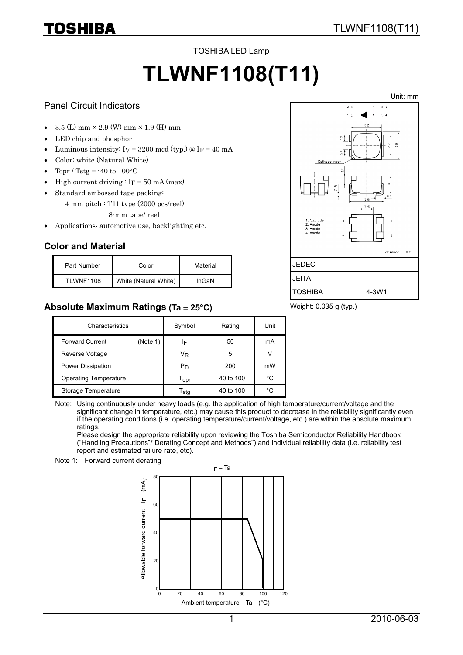#### TOSHIBA LED Lamp

# **TLWNF1108(T11)**

#### Panel Circuit Indicators

TOSHIBA

- $3.5$  (L) mm  $\times$  2.9 (W) mm  $\times$  1.9 (H) mm
- LED chip and phosphor
- Luminous intensity:  $I_V = 3200$  mcd (typ.) @  $I_F = 40$  mA
- Color: white (Natural White)
- Topr / Tstg =  $-40$  to  $100^{\circ}$ C
- High current driving :  $I_F = 50$  mA (max)
- Standard embossed tape packing:
	- 4 mm pitch : T11 type (2000 pcs/reel)
		- 8-mm tape/ reel
- Applications: automotive use, backlighting etc.

# **Color and Material**

| Part Number       | Color                 | Material |
|-------------------|-----------------------|----------|
| <b>TI WNF1108</b> | White (Natural White) | InGaN    |

# **Absolute Maximum Ratings (Ta** = **25°C)**



#### Weight: 0.035 g (typ.)

| Characteristics              |          | Symbol                      | Rating       | Unit |
|------------------------------|----------|-----------------------------|--------------|------|
| <b>Forward Current</b>       | (Note 1) | ΙF                          | 50           | mA   |
| Reverse Voltage              |          | VŖ                          | 5            |      |
| Power Dissipation            |          | Рŋ                          | 200          | mW   |
| <b>Operating Temperature</b> |          | $\mathsf{T}_{\mathsf{OPT}}$ | $-40$ to 100 | °C   |
| Storage Temperature          |          | l sta                       | $-40$ to 100 | °C   |

Note: Using continuously under heavy loads (e.g. the application of high temperature/current/voltage and the significant change in temperature, etc.) may cause this product to decrease in the reliability significantly even if the operating conditions (i.e. operating temperature/current/voltage, etc.) are within the absolute maximum ratings.

Please design the appropriate reliability upon reviewing the Toshiba Semiconductor Reliability Handbook ("Handling Precautions"/"Derating Concept and Methods") and individual reliability data (i.e. reliability test report and estimated failure rate, etc).

Note 1: Forward current derating

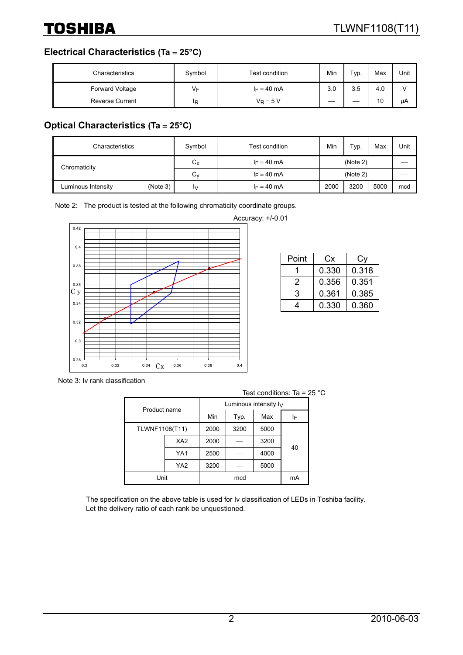**Electrical Characteristics (Ta** = **25°C)**

| Characteristics        | Symbol | Test condition | Min | Typ. | Max | Unit |
|------------------------|--------|----------------|-----|------|-----|------|
| Forward Voltage        | V⊧     | $I_F = 40$ mA  | 3.0 | 3.5  | 4.0 |      |
| <b>Reverse Current</b> | ΙR     | $V_R = 5 V$    | __  |      | 10  | μA   |

# **Optical Characteristics (Ta** = **25°C)**

| Characteristics    |          | Symbol       | Test condition | Min      | Typ. | Max  | Unit |
|--------------------|----------|--------------|----------------|----------|------|------|------|
| Chromaticity       |          | $\sim$<br>Uχ | $I_F = 40$ mA  | (Note 2) |      |      |      |
|                    |          | ⌒<br>Uν      | $I_F = 40$ mA  | (Note 2) |      |      |      |
| Luminous Intensity | (Note 3) | I٧           | $I_F = 40$ mA  | 2000     | 3200 | 5000 | mcd  |

Note 2: The product is tested at the following chromaticity coordinate groups.



Accuracy: +/-0.01

| Point | Cx    | Сv    |
|-------|-------|-------|
|       | 0.330 | 0.318 |
| 2     | 0.356 | 0.351 |
| 3     | 0.361 | 0.385 |
| 4     | 0.330 | 0.360 |

Note 3: Iv rank classification

| Test conditions: Ta = $25 \text{ }^{\circ} \text{C}$ |                 |      |                          |      |    |  |
|------------------------------------------------------|-----------------|------|--------------------------|------|----|--|
|                                                      |                 |      | Luminous intensity $I_V$ |      |    |  |
|                                                      | Product name    |      | Typ.                     | Max  | ΙF |  |
| TLWNF1108(T11)                                       |                 | 2000 | 3200                     | 5000 |    |  |
|                                                      | XA <sub>2</sub> | 2000 |                          | 3200 | 40 |  |
|                                                      | YA1             | 2500 |                          | 4000 |    |  |
|                                                      | YA <sub>2</sub> | 3200 |                          | 5000 |    |  |
| Unit                                                 |                 |      | mcd                      |      | mA |  |

The specification on the above table is used for Iv classification of LEDs in Toshiba facility. Let the delivery ratio of each rank be unquestioned.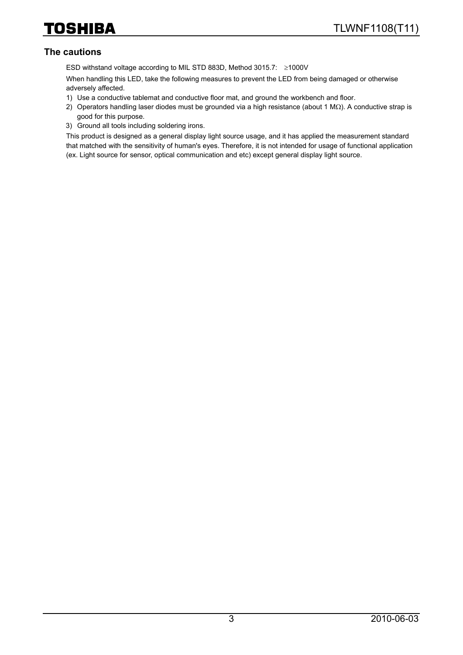#### **The cautions**

ESD withstand voltage according to MIL STD 883D, Method 3015.7: ≥1000V

When handling this LED, take the following measures to prevent the LED from being damaged or otherwise adversely affected.

- 1) Use a conductive tablemat and conductive floor mat, and ground the workbench and floor.
- 2) Operators handling laser diodes must be grounded via a high resistance (about 1 MΩ). A conductive strap is good for this purpose.
- 3) Ground all tools including soldering irons.

This product is designed as a general display light source usage, and it has applied the measurement standard that matched with the sensitivity of human's eyes. Therefore, it is not intended for usage of functional application (ex. Light source for sensor, optical communication and etc) except general display light source.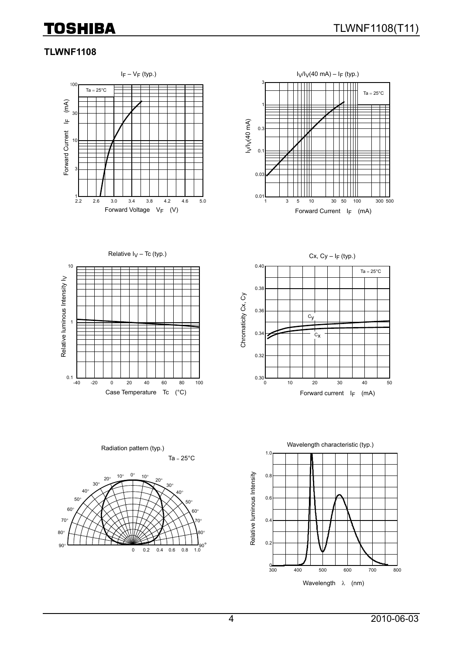# **TLWNF1108**





Relative  $I_V$  – Tc (typ.)



Cx,  $Cy - I_F$  (typ.) 0.40  $Ta = 25^{\circ}C$ 0.38 Chromaticity Cx, Cy Chromaticity Cx, Cy 0.36  $c_y$ 0.34  $c_{\mathbf{X}}$ 0.32  $_{0.30}L_{0}$ 0 10 20 30 40 50 Case Temperature Tc  $(^{\circ}C)$  extended to the Forward current I<sub>F</sub> (mA)



Radiation pattern (typ.)

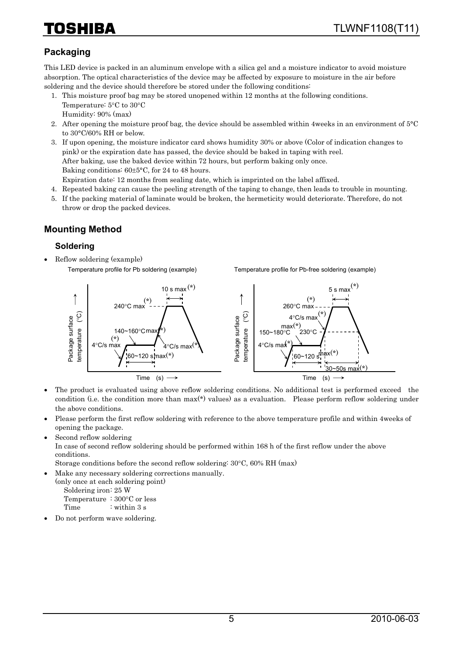# HIBA

# **Packaging**

This LED device is packed in an aluminum envelope with a silica gel and a moisture indicator to avoid moisture absorption. The optical characteristics of the device may be affected by exposure to moisture in the air before soldering and the device should therefore be stored under the following conditions:

- 1. This moisture proof bag may be stored unopened within 12 months at the following conditions. Temperature: 5°C to 30°C Humidity: 90% (max)
- 2. After opening the moisture proof bag, the device should be assembled within 4weeks in an environment of 5°C to 30°C/60% RH or below.
- 3. If upon opening, the moisture indicator card shows humidity 30% or above (Color of indication changes to pink) or the expiration date has passed, the device should be baked in taping with reel. After baking, use the baked device within 72 hours, but perform baking only once. Baking conditions: 60±5°C, for 24 to 48 hours. Expiration date: 12 months from sealing date, which is imprinted on the label affixed.
- 4. Repeated baking can cause the peeling strength of the taping to change, then leads to trouble in mounting.
- 5. If the packing material of laminate would be broken, the hermeticity would deteriorate. Therefore, do not throw or drop the packed devices.

# **Mounting Method**

#### **Soldering**

• Reflow soldering (example) Temperature profile for Pb soldering (example)

Temperature profile for Pb-free soldering (example)



- The product is evaluated using above reflow soldering conditions. No additional test is performed exceed the condition (i.e. the condition more than max(\*) values) as a evaluation. Please perform reflow soldering under the above conditions.
- Please perform the first reflow soldering with reference to the above temperature profile and within 4weeks of opening the package.
- Second reflow soldering

In case of second reflow soldering should be performed within 168 h of the first reflow under the above conditions.

Storage conditions before the second reflow soldering: 30°C, 60% RH (max)

• Make any necessary soldering corrections manually.

(only once at each soldering point) Soldering iron: 25 W Temperature : 300°C or less

Time : within 3 s

• Do not perform wave soldering.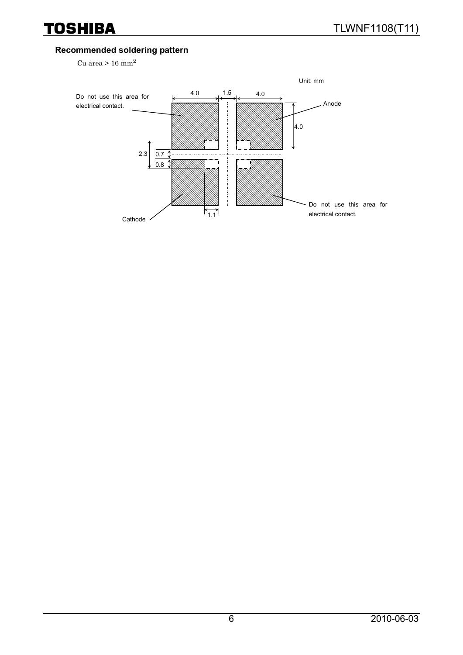### **Recommended soldering pattern**

Cu area >  $16$  mm<sup>2</sup>

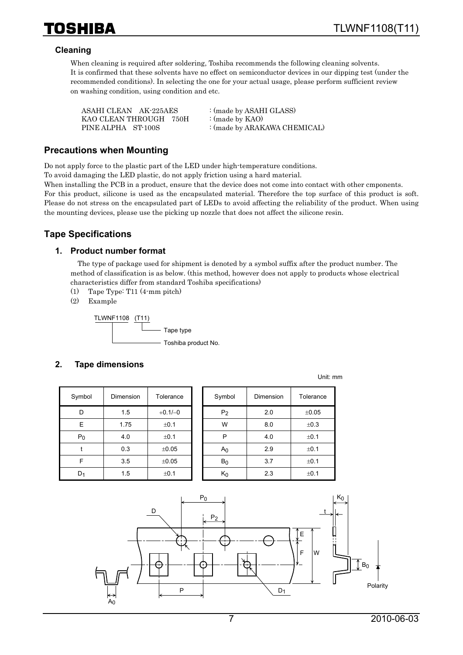#### **Cleaning**

When cleaning is required after soldering, Toshiba recommends the following cleaning solvents. It is confirmed that these solvents have no effect on semiconductor devices in our dipping test (under the recommended conditions). In selecting the one for your actual usage, please perform sufficient review on washing condition, using condition and etc.

| ASAHI CLEAN AK-225AES  | : (made by ASAHI GLASS)      |
|------------------------|------------------------------|
| KAO CLEAN THROUGH 750H | : (made by $KAO$ )           |
| PINE ALPHA ST-100S     | : (made by ARAKAWA CHEMICAL) |

#### **Precautions when Mounting**

Do not apply force to the plastic part of the LED under high-temperature conditions.

To avoid damaging the LED plastic, do not apply friction using a hard material.

When installing the PCB in a product, ensure that the device does not come into contact with other cmponents. For this product, silicone is used as the encapsulated material. Therefore the top surface of this product is soft. Please do not stress on the encapsulated part of LEDs to avoid affecting the reliability of the product. When using the mounting devices, please use the picking up nozzle that does not affect the silicone resin.

# **Tape Specifications**

#### **1. Product number format**

The type of package used for shipment is denoted by a symbol suffix after the product number. The method of classification is as below. (this method, however does not apply to products whose electrical characteristics differ from standard Toshiba specifications)

- (1) Tape Type: T11 (4-mm pitch)
- (2) Example

TLWNF1108 (T11) Tape type - Toshiba product No.

#### **2. Tape dimensions**

| Symbol | Dimension | Tolerance |
|--------|-----------|-----------|
| D      | 1.5       | $+0.1/-0$ |
| E      | 1.75      | $\pm 0.1$ |
| $P_0$  | 4.0       | $\pm 0.1$ |
|        | 0.3       | ±0.05     |
| F      | 3.5       | ±0.05     |
|        | 1.5       | $\pm 0.1$ |

| Symbol | Dimension | Tolerance  | Symbol         | Dimension | Tolerance |
|--------|-----------|------------|----------------|-----------|-----------|
| D      | 1.5       | $+0.1/-0$  | P <sub>2</sub> | 2.0       | ±0.05     |
| E      | 1.75      | ±0.1       | W              | 8.0       | ±0.3      |
| $P_0$  | 4.0       | ±0.1       | P              | 4.0       | ±0.1      |
|        | 0.3       | $\pm 0.05$ | A <sub>0</sub> | 2.9       | ±0.1      |
| F      | 3.5       | $\pm 0.05$ | $B_0$          | 3.7       | ±0.1      |
| $D_1$  | 1.5       | ±0.1       | $K_0$          | 2.3       | ±0.1      |

Unit: mm

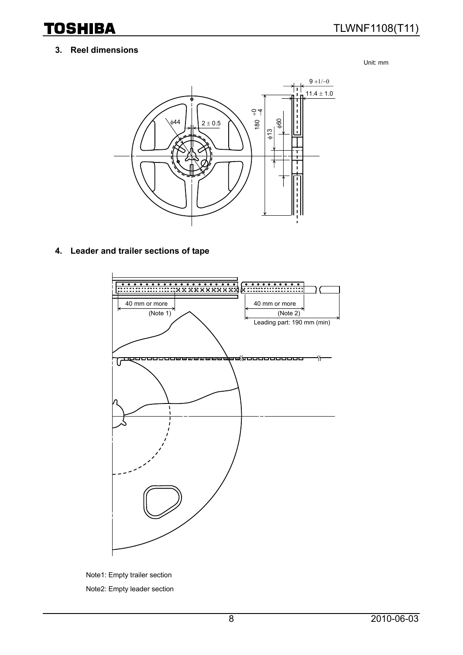#### **3. Reel dimensions**

Unit: mm



#### **4. Leader and trailer sections of tape**



Note1: Empty trailer section Note2: Empty leader section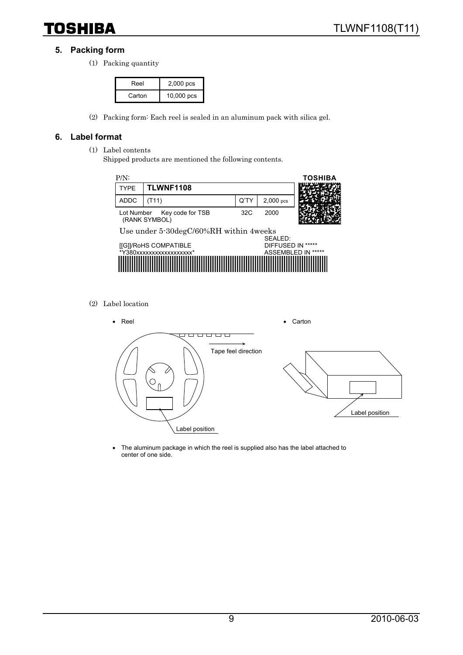### **5. Packing form**

(1) Packing quantity

| Reel   | $2,000$ pcs |
|--------|-------------|
| Carton | 10,000 pcs  |

(2) Packing form: Each reel is sealed in an aluminum pack with silica gel.

#### **6. Label format**

- (1) Label contents
	- Shipped products are mentioned the following contents.



(2) Label location



• The aluminum package in which the reel is supplied also has the label attached to center of one side.